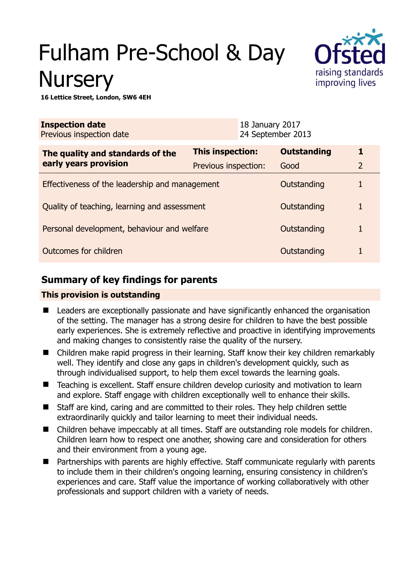# Fulham Pre-School & Day **Nursery**



**16 Lettice Street, London, SW6 4EH** 

| <b>Inspection date</b><br>Previous inspection date        |                      | 18 January 2017<br>24 September 2013 |                    |                |
|-----------------------------------------------------------|----------------------|--------------------------------------|--------------------|----------------|
| The quality and standards of the<br>early years provision | This inspection:     |                                      | <b>Outstanding</b> | 1              |
|                                                           | Previous inspection: |                                      | Good               | $\overline{2}$ |
| Effectiveness of the leadership and management            |                      |                                      | Outstanding        | 1              |
| Quality of teaching, learning and assessment              |                      |                                      | Outstanding        |                |
| Personal development, behaviour and welfare               |                      |                                      | Outstanding        | 1              |
| Outcomes for children                                     |                      |                                      | Outstanding        |                |

## **Summary of key findings for parents**

## **This provision is outstanding**

- Leaders are exceptionally passionate and have significantly enhanced the organisation of the setting. The manager has a strong desire for children to have the best possible early experiences. She is extremely reflective and proactive in identifying improvements and making changes to consistently raise the quality of the nursery.
- Children make rapid progress in their learning. Staff know their key children remarkably well. They identify and close any gaps in children's development quickly, such as through individualised support, to help them excel towards the learning goals.
- Teaching is excellent. Staff ensure children develop curiosity and motivation to learn and explore. Staff engage with children exceptionally well to enhance their skills.
- Staff are kind, caring and are committed to their roles. They help children settle extraordinarily quickly and tailor learning to meet their individual needs.
- Children behave impeccably at all times. Staff are outstanding role models for children. Children learn how to respect one another, showing care and consideration for others and their environment from a young age.
- Partnerships with parents are highly effective. Staff communicate regularly with parents to include them in their children's ongoing learning, ensuring consistency in children's experiences and care. Staff value the importance of working collaboratively with other professionals and support children with a variety of needs.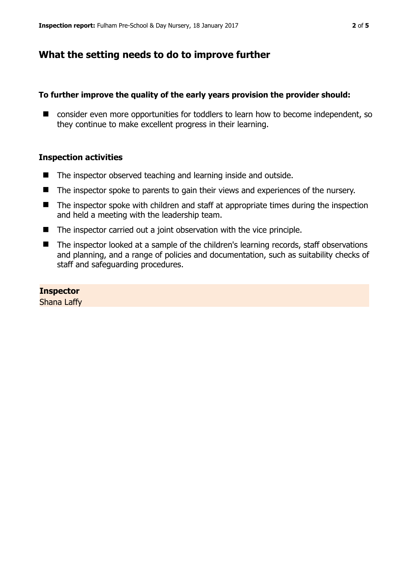## **What the setting needs to do to improve further**

#### **To further improve the quality of the early years provision the provider should:**

■ consider even more opportunities for toddlers to learn how to become independent, so they continue to make excellent progress in their learning.

#### **Inspection activities**

- The inspector observed teaching and learning inside and outside.
- The inspector spoke to parents to gain their views and experiences of the nursery.
- $\blacksquare$  The inspector spoke with children and staff at appropriate times during the inspection and held a meeting with the leadership team.
- $\blacksquare$  The inspector carried out a joint observation with the vice principle.
- The inspector looked at a sample of the children's learning records, staff observations and planning, and a range of policies and documentation, such as suitability checks of staff and safeguarding procedures.

## **Inspector**

Shana Laffy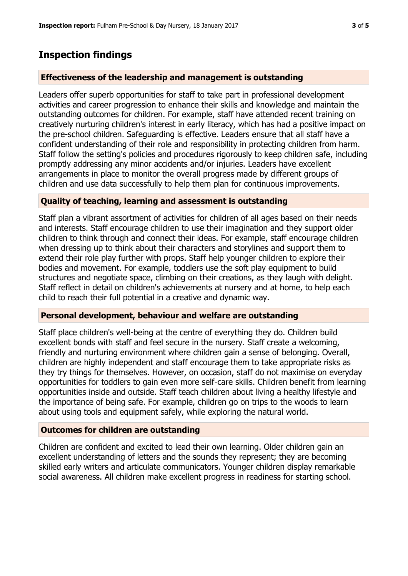## **Inspection findings**

## **Effectiveness of the leadership and management is outstanding**

Leaders offer superb opportunities for staff to take part in professional development activities and career progression to enhance their skills and knowledge and maintain the outstanding outcomes for children. For example, staff have attended recent training on creatively nurturing children's interest in early literacy, which has had a positive impact on the pre-school children. Safeguarding is effective. Leaders ensure that all staff have a confident understanding of their role and responsibility in protecting children from harm. Staff follow the setting's policies and procedures rigorously to keep children safe, including promptly addressing any minor accidents and/or injuries. Leaders have excellent arrangements in place to monitor the overall progress made by different groups of children and use data successfully to help them plan for continuous improvements.

## **Quality of teaching, learning and assessment is outstanding**

Staff plan a vibrant assortment of activities for children of all ages based on their needs and interests. Staff encourage children to use their imagination and they support older children to think through and connect their ideas. For example, staff encourage children when dressing up to think about their characters and storylines and support them to extend their role play further with props. Staff help younger children to explore their bodies and movement. For example, toddlers use the soft play equipment to build structures and negotiate space, climbing on their creations, as they laugh with delight. Staff reflect in detail on children's achievements at nursery and at home, to help each child to reach their full potential in a creative and dynamic way.

## **Personal development, behaviour and welfare are outstanding**

Staff place children's well-being at the centre of everything they do. Children build excellent bonds with staff and feel secure in the nursery. Staff create a welcoming, friendly and nurturing environment where children gain a sense of belonging. Overall, children are highly independent and staff encourage them to take appropriate risks as they try things for themselves. However, on occasion, staff do not maximise on everyday opportunities for toddlers to gain even more self-care skills. Children benefit from learning opportunities inside and outside. Staff teach children about living a healthy lifestyle and the importance of being safe. For example, children go on trips to the woods to learn about using tools and equipment safely, while exploring the natural world.

## **Outcomes for children are outstanding**

Children are confident and excited to lead their own learning. Older children gain an excellent understanding of letters and the sounds they represent; they are becoming skilled early writers and articulate communicators. Younger children display remarkable social awareness. All children make excellent progress in readiness for starting school.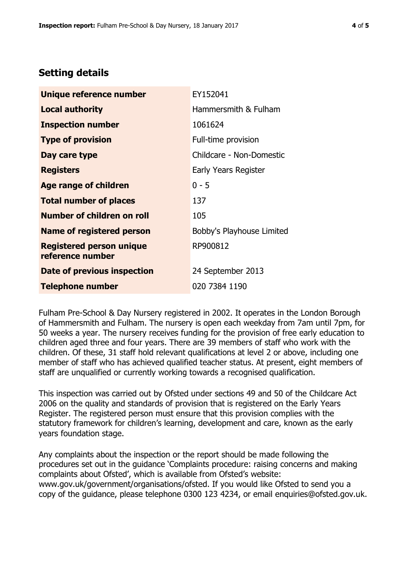## **Setting details**

| Unique reference number                             | EY152041                  |  |  |
|-----------------------------------------------------|---------------------------|--|--|
| <b>Local authority</b>                              | Hammersmith & Fulham      |  |  |
| <b>Inspection number</b>                            | 1061624                   |  |  |
| <b>Type of provision</b>                            | Full-time provision       |  |  |
| Day care type                                       | Childcare - Non-Domestic  |  |  |
| <b>Registers</b>                                    | Early Years Register      |  |  |
| <b>Age range of children</b>                        | $0 - 5$                   |  |  |
| <b>Total number of places</b>                       | 137                       |  |  |
| <b>Number of children on roll</b>                   | 105                       |  |  |
| <b>Name of registered person</b>                    | Bobby's Playhouse Limited |  |  |
| <b>Registered person unique</b><br>reference number | RP900812                  |  |  |
| Date of previous inspection                         | 24 September 2013         |  |  |
| <b>Telephone number</b>                             | 020 7384 1190             |  |  |

Fulham Pre-School & Day Nursery registered in 2002. It operates in the London Borough of Hammersmith and Fulham. The nursery is open each weekday from 7am until 7pm, for 50 weeks a year. The nursery receives funding for the provision of free early education to children aged three and four years. There are 39 members of staff who work with the children. Of these, 31 staff hold relevant qualifications at level 2 or above, including one member of staff who has achieved qualified teacher status. At present, eight members of staff are unqualified or currently working towards a recognised qualification.

This inspection was carried out by Ofsted under sections 49 and 50 of the Childcare Act 2006 on the quality and standards of provision that is registered on the Early Years Register. The registered person must ensure that this provision complies with the statutory framework for children's learning, development and care, known as the early years foundation stage.

Any complaints about the inspection or the report should be made following the procedures set out in the guidance 'Complaints procedure: raising concerns and making complaints about Ofsted', which is available from Ofsted's website: www.gov.uk/government/organisations/ofsted. If you would like Ofsted to send you a copy of the guidance, please telephone 0300 123 4234, or email enquiries@ofsted.gov.uk.